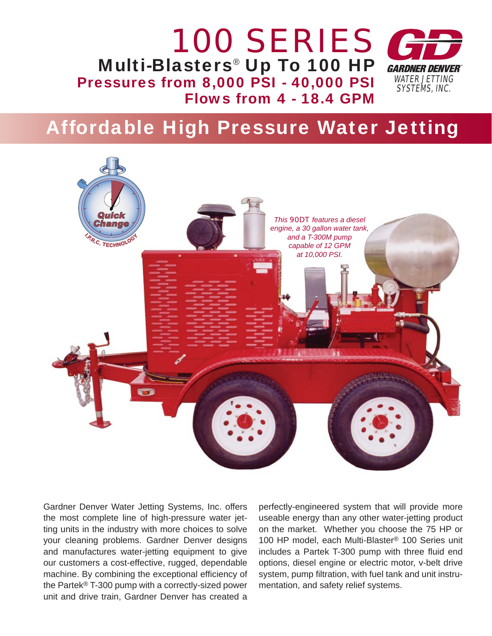

# Affordable High Pressure Water Jetting



Gardner Denver Water Jetting Systems, Inc. offers the most complete line of high-pressure water jetting units in the industry with more choices to solve your cleaning problems. Gardner Denver designs and manufactures water-jetting equipment to give our customers a cost-effective, rugged, dependable machine. By combining the exceptional efficiency of the Partek® T-300 pump with a correctly-sized power unit and drive train, Gardner Denver has created a

perfectly-engineered system that will provide more useable energy than any other water-jetting product on the market. Whether you choose the 75 HP or 100 HP model, each Multi-Blaster® 100 Series unit includes a Partek T-300 pump with three fluid end options, diesel engine or electric motor, v-belt drive system, pump filtration, with fuel tank and unit instrumentation, and safety relief systems.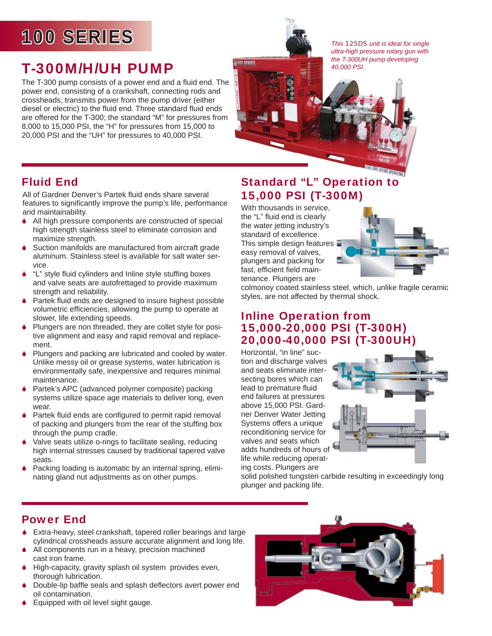# 100 SERIES 00

## T-300M/H/UH PUMP

The T-300 pump consists of a power end and a fluid end. The power end, consisting of a crankshaft, connecting rods and crossheads, transmits power from the pump driver (either diesel or electric) to the fluid end. Three standard fluid ends are offered for the T-300; the standard "M" for pressures from 8,000 to 15,000 PSI, the "H" for pressures from 15,000 to 20,000 PSI and the "UH" for pressures to 40,000 PSI.

*This 125DS unit is ideal for single ultra-high pressure rotary gun with the T-300UH pump developing 40,000 PSI.*

### Fluid End

All of Gardner Denver's Partek fluid ends share several features to significantly improve the pump's life, performance and maintainability.

- 6 All high pressure components are constructed of special high strength stainless steel to eliminate corrosion and maximize strength.
- ♦ Suction manifolds are manufactured from aircraft grade aluminum. Stainless steel is available for salt water service.
- "L" style fluid cylinders and Inline style stuffing boxes and valve seats are autofrettaged to provide maximum strength and reliability.
- $\blacklozenge$  Partek fluid ends are designed to insure highest possible volumetric efficiencies, allowing the pump to operate at slower, life extending speeds.
- Plungers are non threaded, they are collet style for positive alignment and easy and rapid removal and replacement.
- 6 Plungers and packing are lubricated and cooled by water. Unlike messy oil or grease systems, water lubrication is environmentally safe, inexpensive and requires minimal maintenance.
- 6 Partek's APC (advanced polymer composite) packing systems utilize space age materials to deliver long, even wear
- $\bullet$  Partek fluid ends are configured to permit rapid removal of packing and plungers from the rear of the stuffing box through the pump cradle.
- Valve seats utilize o-rings to facilitate sealing, reducing high internal stresses caused by traditional tapered valve seats.
- Packing loading is automatic by an internal spring, eliminating gland nut adjustments as on other pumps.

### Standard "L" Operation to 15,000 PSI (T-300M)

With thousands in service, the "L" fluid end is clearly the water jetting industry's standard of excellence. This simple design features easy removal of valves, plungers and packing for fast, efficient field maintenance. Plungers are

**ISMA SEDICO** 



colmonoy coated stainless steel, which, unlike fragile ceramic styles, are not affected by thermal shock.

#### Inline Operation from 15,000-20,000 PSI (T-300H) 20,000-40,000 PSI (T-300UH)

Horizontal, "in line" suction and discharge valves and seats eliminate intersecting bores which can lead to premature fluid end failures at pressures above 15,000 PSI. Gardner Denver Water Jetting Systems offers a unique reconditioning service for valves and seats which adds hundreds of hours of life while reducing operating costs. Plungers are



solid polished tungsten carbide resulting in exceedingly long plunger and packing life.

### Power End

- 6 Extra-heavy, steel crankshaft, tapered roller bearings and large cylindrical crossheads assure accurate alignment and long life.
- ♦ All components run in a heavy, precision machined cast iron frame.
- 6 High-capacity, gravity splash oil system provides even, thorough lubrication.
- Double-lip baffle seals and splash deflectors avert power end oil contamination.
- ◆ Equipped with oil level sight gauge.

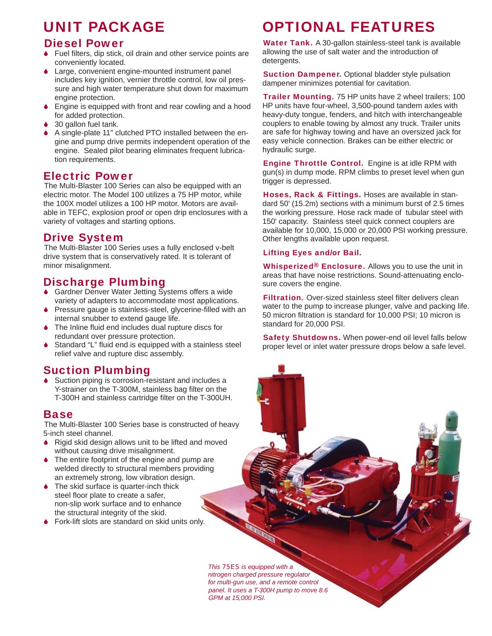## UNIT PACKAGE

#### Diesel Power

- $\bullet$  Fuel filters, dip stick, oil drain and other service points are conveniently located.
- Large, convenient engine-mounted instrument panel includes key ignition, vernier throttle control, low oil pressure and high water temperature shut down for maximum engine protection.
- 6 Engine is equipped with front and rear cowling and a hood for added protection.
- 30 gallon fuel tank.
- 6 A single-plate 11" clutched PTO installed between the engine and pump drive permits independent operation of the engine. Sealed pilot bearing eliminates frequent lubrication requirements.

#### Electric Power

The Multi-Blaster 100 Series can also be equipped with an electric motor. The Model 100 utilizes a 75 HP motor, while the 100X model utilizes a 100 HP motor. Motors are available in TEFC, explosion proof or open drip enclosures with a variety of voltages and starting options.

#### Drive System

The Multi-Blaster 100 Series uses a fully enclosed v-belt drive system that is conservatively rated. It is tolerant of minor misalignment.

### Discharge Plumbing

- 6 Gardner Denver Water Jetting Systems offers a wide variety of adapters to accommodate most applications.
- Pressure gauge is stainless-steel, glycerine-filled with an internal snubber to extend gauge life.
- The Inline fluid end includes dual rupture discs for redundant over pressure protection.
- Standard "L" fluid end is equipped with a stainless steel relief valve and rupture disc assembly.

#### Suction Plumbing

◆ Suction piping is corrosion-resistant and includes a Y-strainer on the T-300M, stainless bag filter on the T-300H and stainless cartridge filter on the T-300UH.

#### Base

The Multi-Blaster 100 Series base is constructed of heavy 5-inch steel channel.

- 6 Rigid skid design allows unit to be lifted and moved without causing drive misalignment.
- The entire footprint of the engine and pump are welded directly to structural members providing an extremely strong, low vibration design.
- **●** The skid surface is quarter-inch thick steel floor plate to create a safer, non-slip work surface and to enhance the structural integrity of the skid.
- ♦ Fork-lift slots are standard on skid units only.

## OPTIONAL FEATURES

Water Tank. A 30-gallon stainless-steel tank is available allowing the use of salt water and the introduction of detergents.

**Suction Dampener.** Optional bladder style pulsation dampener minimizes potential for cavitation.

**Trailer Mounting.** 75 HP units have 2 wheel trailers; 100 HP units have four-wheel, 3,500-pound tandem axles with heavy-duty tongue, fenders, and hitch with interchangeable couplers to enable towing by almost any truck. Trailer units are safe for highway towing and have an oversized jack for easy vehicle connection. Brakes can be either electric or hydraulic surge.

Engine Throttle Control. Engine is at idle RPM with gun(s) in dump mode. RPM climbs to preset level when gun trigger is depressed.

Hoses, Rack & Fittings. Hoses are available in standard 50' (15.2m) sections with a minimum burst of 2.5 times the working pressure. Hose rack made of tubular steel with 150' capacity. Stainless steel quick connect couplers are available for 10,000, 15,000 or 20,000 PSI working pressure. Other lengths available upon request.

#### Lifting Eyes and/or Bail.

Whisperized<sup>®</sup> Enclosure. Allows you to use the unit in areas that have noise restrictions. Sound-attenuating enclosure covers the engine.

Filtration. Over-sized stainless steel filter delivers clean water to the pump to increase plunger, valve and packing life. 50 micron filtration is standard for 10,000 PSI; 10 micron is standard for 20,000 PSI.

Safety Shutdowns. When power-end oil level falls below proper level or inlet water pressure drops below a safe level.

*This 75ES is equipped with a nitrogen charged pressure regulator for multi-gun use, and a remote control panel. It uses a T-300H pump to move 8.6 GPM at 15,000 PSI.*